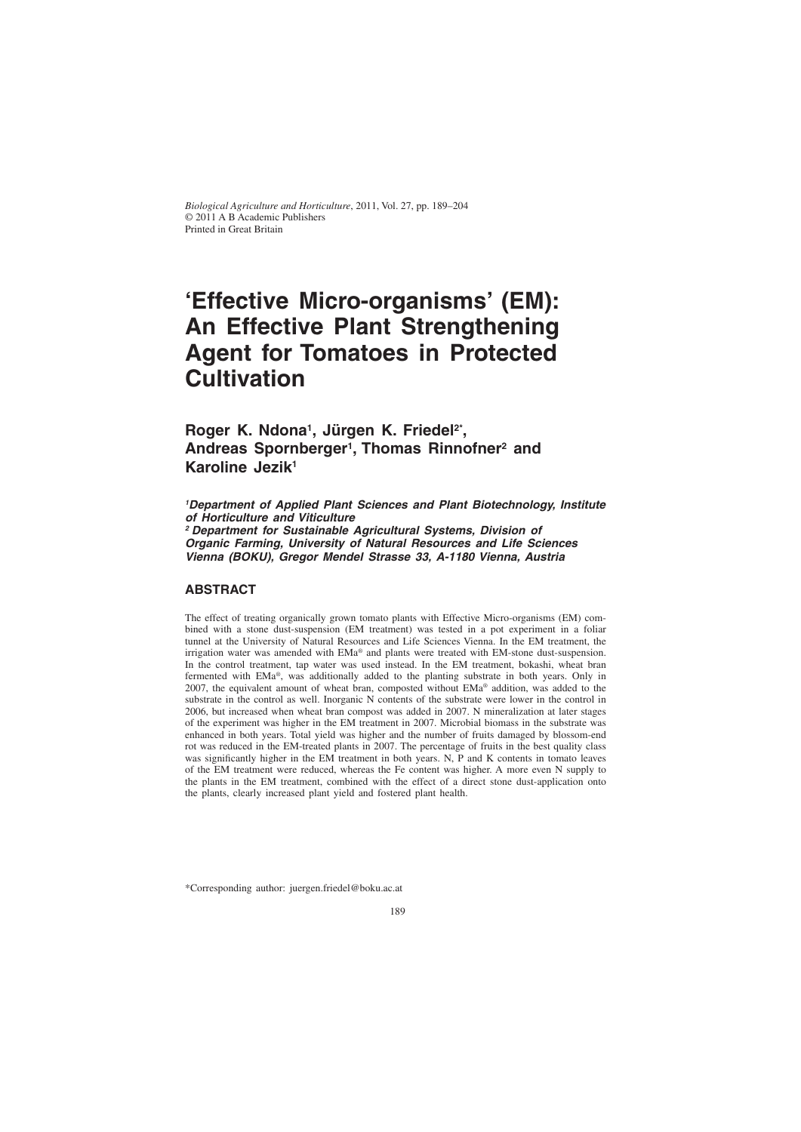Biological Agriculture and Horticulture, 2011, Vol. 27, pp. 189–204 © 2011 A B Academic Publishers Printed in Great Britain

# **'Effective Micro-organisms' (EM): An Effective Plant Strengthening Agent for Tomatoes in Protected Cultivation**

**Roger K. Ndona1 , Jürgen K. Friedel2\*,** Andreas Spornberger<sup>1</sup>, Thomas Rinnofner<sup>2</sup> and **Karoline Jezik1**

**1 Department of Applied Plant Sciences and Plant Biotechnology, Institute of Horticulture and Viticulture**

**2 Department for Sustainable Agricultural Systems, Division of Organic Farming, University of Natural Resources and Life Sciences Vienna (BOKU), Gregor Mendel Strasse 33, A-1180 Vienna, Austria**

### **ABSTRACT**

The effect of treating organically grown tomato plants with Effective Micro-organisms (EM) combined with a stone dust-suspension (EM treatment) was tested in a pot experiment in a foliar tunnel at the University of Natural Resources and Life Sciences Vienna. In the EM treatment, the irrigation water was amended with EMa® and plants were treated with EM-stone dust-suspension. In the control treatment, tap water was used instead. In the EM treatment, bokashi, wheat bran fermented with EMa®, was additionally added to the planting substrate in both years. Only in 2007, the equivalent amount of wheat bran, composted without EMa® addition, was added to the substrate in the control as well. Inorganic N contents of the substrate were lower in the control in 2006, but increased when wheat bran compost was added in 2007. N mineralization at later stages of the experiment was higher in the EM treatment in 2007. Microbial biomass in the substrate was enhanced in both years. Total yield was higher and the number of fruits damaged by blossom-end rot was reduced in the EM-treated plants in 2007. The percentage of fruits in the best quality class was significantly higher in the EM treatment in both years. N, P and K contents in tomato leaves of the EM treatment were reduced, whereas the Fe content was higher. A more even N supply to the plants in the EM treatment, combined with the effect of a direct stone dust-application onto the plants, clearly increased plant yield and fostered plant health.

\*Corresponding author: juergen.friedel@boku.ac.at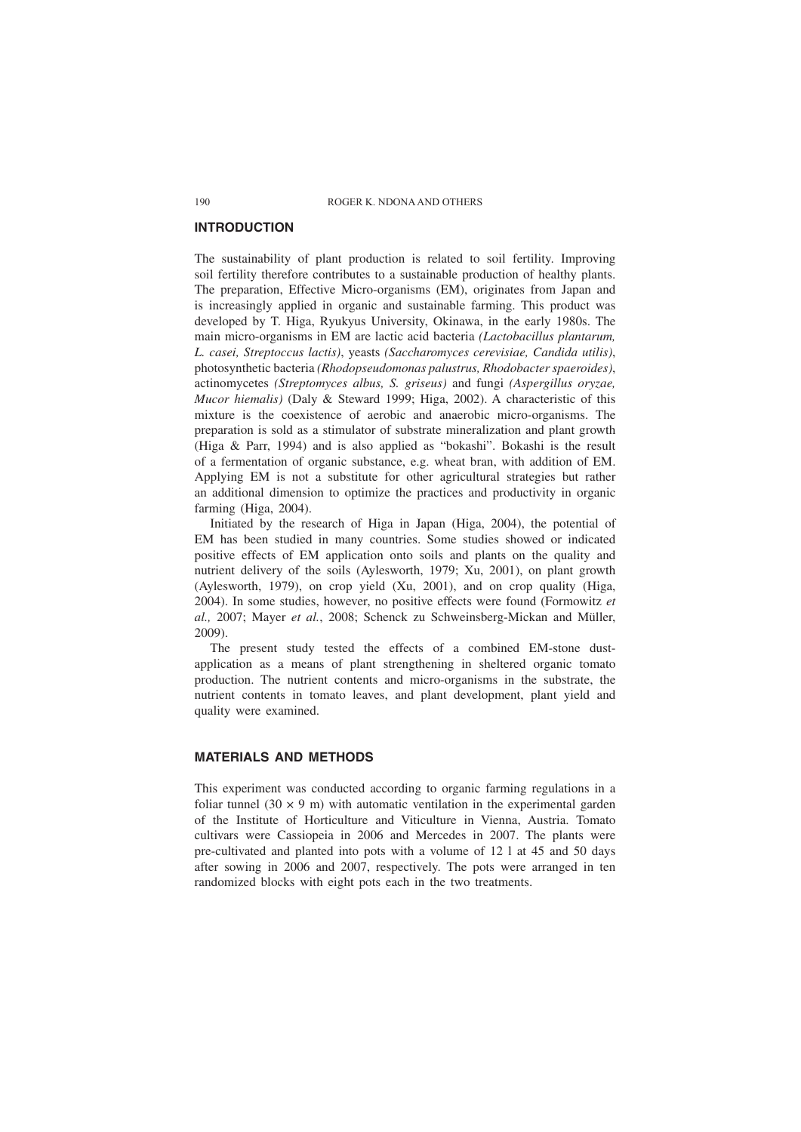#### 190 ROGER K NDONA AND OTHERS

# **INTRODUCTION**

The sustainability of plant production is related to soil fertility. Improving soil fertility therefore contributes to a sustainable production of healthy plants. The preparation, Effective Micro-organisms (EM), originates from Japan and is increasingly applied in organic and sustainable farming. This product was developed by T. Higa, Ryukyus University, Okinawa, in the early 1980s. The main micro-organisms in EM are lactic acid bacteria *(Lactobacillus plantarum, L. casei, Streptoccus lactis)*, yeasts *(Saccharomyces cerevisiae, Candida utilis)*, photosynthetic bacteria *(Rhodopseudomonas palustrus, Rhodobacter spaeroides)*, actinomycetes *(Streptomyces albus, S. griseus)* and fungi *(Aspergillus oryzae, Mucor hiemalis)* (Daly & Steward 1999; Higa, 2002). A characteristic of this mixture is the coexistence of aerobic and anaerobic micro-organisms. The preparation is sold as a stimulator of substrate mineralization and plant growth (Higa & Parr, 1994) and is also applied as "bokashi". Bokashi is the result of a fermentation of organic substance, e.g. wheat bran, with addition of EM. Applying EM is not a substitute for other agricultural strategies but rather an additional dimension to optimize the practices and productivity in organic farming (Higa, 2004).

Initiated by the research of Higa in Japan (Higa, 2004), the potential of EM has been studied in many countries. Some studies showed or indicated positive effects of EM application onto soils and plants on the quality and nutrient delivery of the soils (Aylesworth, 1979; Xu, 2001), on plant growth (Aylesworth, 1979), on crop yield (Xu, 2001), and on crop quality (Higa, 2004). In some studies, however, no positive effects were found (Formowitz *et al.,* 2007; Mayer *et al.*, 2008; Schenck zu Schweinsberg-Mickan and Müller, 2009).

The present study tested the effects of a combined EM-stone dustapplication as a means of plant strengthening in sheltered organic tomato production. The nutrient contents and micro-organisms in the substrate, the nutrient contents in tomato leaves, and plant development, plant yield and quality were examined.

### **MATERIALS AND METHODS**

This experiment was conducted according to organic farming regulations in a foliar tunnel (30  $\times$  9 m) with automatic ventilation in the experimental garden of the Institute of Horticulture and Viticulture in Vienna, Austria. Tomato cultivars were Cassiopeia in 2006 and Mercedes in 2007. The plants were pre-cultivated and planted into pots with a volume of 12 l at 45 and 50 days after sowing in 2006 and 2007, respectively. The pots were arranged in ten randomized blocks with eight pots each in the two treatments.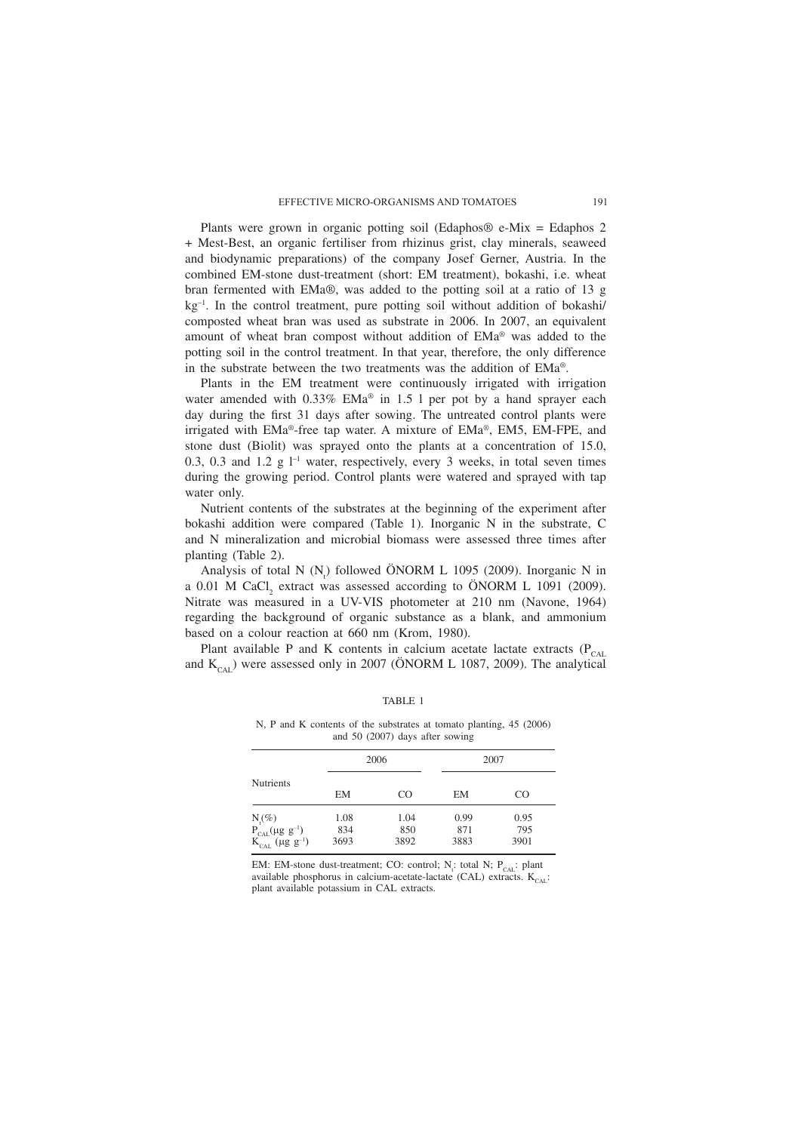Plants were grown in organic potting soil (Edaphos® e-Mix = Edaphos 2 + Mest-Best, an organic fertiliser from rhizinus grist, clay minerals, seaweed and biodynamic preparations) of the company Josef Gerner, Austria. In the combined EM-stone dust-treatment (short: EM treatment), bokashi, i.e. wheat bran fermented with EMa®, was added to the potting soil at a ratio of 13 g  $kg^{-1}$ . In the control treatment, pure potting soil without addition of bokashi composted wheat bran was used as substrate in 2006. In 2007, an equivalent amount of wheat bran compost without addition of EMa® was added to the potting soil in the control treatment. In that year, therefore, the only difference in the substrate between the two treatments was the addition of EMa®.

Plants in the EM treatment were continuously irrigated with irrigation water amended with  $0.33\%$  EMa® in 1.5 l per pot by a hand sprayer each day during the first 31 days after sowing. The untreated control plants were irrigated with EMa®-free tap water. A mixture of EMa®, EM5, EM-FPE, and stone dust (Biolit) was sprayed onto the plants at a concentration of 15.0, 0.3, 0.3 and 1.2 g  $l^{-1}$  water, respectively, every 3 weeks, in total seven times during the growing period. Control plants were watered and sprayed with tap water only.

Nutrient contents of the substrates at the beginning of the experiment after bokashi addition were compared (Table 1). Inorganic N in the substrate, C and N mineralization and microbial biomass were assessed three times after planting (Table 2).

Analysis of total N  $(N_t)$  followed ÖNORM L 1095 (2009). Inorganic N in a 0.01 M CaCl<sub>2</sub> extract was assessed according to ÖNORM L 1091 (2009). Nitrate was measured in a UV-VIS photometer at 210 nm (Navone, 1964) regarding the background of organic substance as a blank, and ammonium based on a colour reaction at 660 nm (Krom, 1980).

Plant available P and K contents in calcium acetate lactate extracts  $(P_{CA}$ and  $K<sub>CA1</sub>$ ) were assessed only in 2007 (ÖNORM L 1087, 2009). The analytical

|                                                                               | 2006                |                     | and 50 (2007) days after sowing<br>2007 |                     |  |
|-------------------------------------------------------------------------------|---------------------|---------------------|-----------------------------------------|---------------------|--|
| <b>Nutrients</b>                                                              | EМ                  | CO                  | EМ                                      | CO                  |  |
| $N_{\rm g}(\%)$<br>$P_{CAL}(\mu g g^{-1})$<br>$K_{CAL}$ (µg g <sup>-1</sup> ) | 1.08<br>834<br>3693 | 1.04<br>850<br>3892 | 0.99<br>871<br>3883                     | 0.95<br>795<br>3901 |  |

TABLE 1 N, P and K contents of the substrates at tomato planting, 45 (2006)

EM: EM-stone dust-treatment; CO: control;  $N_i$ : total N;  $P_{CAL}$ : plant available phosphorus in calcium-acetate-lactate (CAL) extracts.  $K_{CA}$ : plant available potassium in CAL extracts.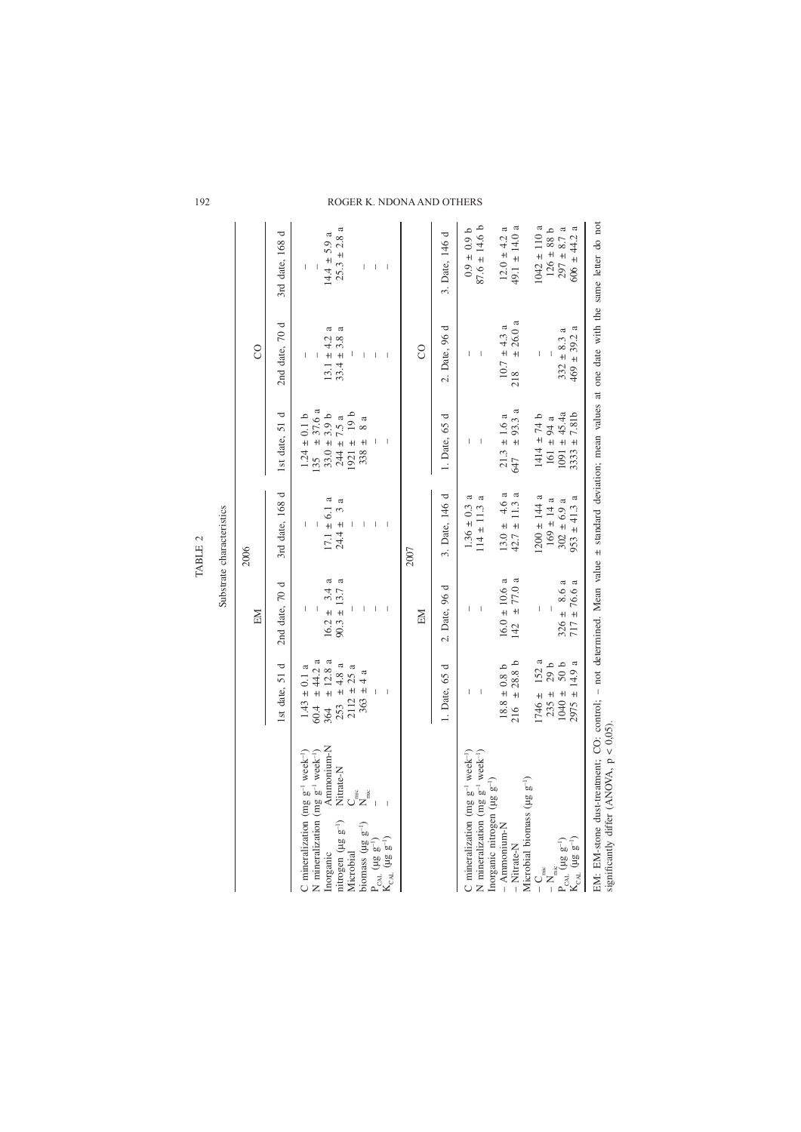|                                                                                                                                                                                                                                                                                                                                    |                                                                                                                                                           |                                                 | Substrate characteristics                                                                                                                                                                                                                                                                                                                                                                                                                                                                                                                                                                                                                                                                                                                                                                                                                                                                                      |                                                                                                                    |                                                |                                                                                                                                                                                                                                                                                                                                                                                                                                                                                       |
|------------------------------------------------------------------------------------------------------------------------------------------------------------------------------------------------------------------------------------------------------------------------------------------------------------------------------------|-----------------------------------------------------------------------------------------------------------------------------------------------------------|-------------------------------------------------|----------------------------------------------------------------------------------------------------------------------------------------------------------------------------------------------------------------------------------------------------------------------------------------------------------------------------------------------------------------------------------------------------------------------------------------------------------------------------------------------------------------------------------------------------------------------------------------------------------------------------------------------------------------------------------------------------------------------------------------------------------------------------------------------------------------------------------------------------------------------------------------------------------------|--------------------------------------------------------------------------------------------------------------------|------------------------------------------------|---------------------------------------------------------------------------------------------------------------------------------------------------------------------------------------------------------------------------------------------------------------------------------------------------------------------------------------------------------------------------------------------------------------------------------------------------------------------------------------|
|                                                                                                                                                                                                                                                                                                                                    |                                                                                                                                                           | EМ                                              | 2006                                                                                                                                                                                                                                                                                                                                                                                                                                                                                                                                                                                                                                                                                                                                                                                                                                                                                                           |                                                                                                                    | 8                                              |                                                                                                                                                                                                                                                                                                                                                                                                                                                                                       |
|                                                                                                                                                                                                                                                                                                                                    | 1st date, 51 d                                                                                                                                            | 2nd date, 70 d                                  | 3rd date, 168 d                                                                                                                                                                                                                                                                                                                                                                                                                                                                                                                                                                                                                                                                                                                                                                                                                                                                                                | 1st date, 51 d                                                                                                     | 2nd date, 70 d                                 | 3rd date, 168 d                                                                                                                                                                                                                                                                                                                                                                                                                                                                       |
| Ammonium-N<br>N mineralization (mg $g^{-1}$ week <sup>-1</sup> )<br>C mineralization (mg $g^{-1}$ week <sup>-1</sup> )<br>Nitrate-N<br>اً<br>مائ<br>$\overline{1}$<br>nitrogen (µg g <sup>-1</sup> )<br>biomass ( $\mu$ g $g^{-1}$ )<br>$K_{\text{CAL}}$ (µg $g^{-1}$ )<br>$P_{\rm{CAL}}$ (Hg $g^{-1}$ )<br>Microbial<br>Inorganic | $60.4 \pm 44.2$ a<br>$364 \pm 12.8$ a<br>$253 \pm 4.8$ a<br>$1.43 \pm 0.1$ a<br>$2112 \pm 25$ a<br>$363 \pm 4$ a<br>$\begin{array}{c} \hline \end{array}$ | $16.2 \pm 3.4$ a<br>$90.3 \pm 13.7$ a<br>I<br>I | $17.1 \pm 6.1$ a<br>$24.4 \pm 3$<br>$\begin{array}{c} \rule{0pt}{2.5ex} \rule{0pt}{2.5ex} \rule{0pt}{2.5ex} \rule{0pt}{2.5ex} \rule{0pt}{2.5ex} \rule{0pt}{2.5ex} \rule{0pt}{2.5ex} \rule{0pt}{2.5ex} \rule{0pt}{2.5ex} \rule{0pt}{2.5ex} \rule{0pt}{2.5ex} \rule{0pt}{2.5ex} \rule{0pt}{2.5ex} \rule{0pt}{2.5ex} \rule{0pt}{2.5ex} \rule{0pt}{2.5ex} \rule{0pt}{2.5ex} \rule{0pt}{2.5ex} \rule{0pt}{2.5ex} \rule{0$<br>$\overline{\phantom{a}}$<br>$\begin{array}{c} \hline \end{array}$<br>L<br>$\begin{array}{c} \rule{0pt}{2.5ex} \rule{0pt}{2.5ex} \rule{0pt}{2.5ex} \rule{0pt}{2.5ex} \rule{0pt}{2.5ex} \rule{0pt}{2.5ex} \rule{0pt}{2.5ex} \rule{0pt}{2.5ex} \rule{0pt}{2.5ex} \rule{0pt}{2.5ex} \rule{0pt}{2.5ex} \rule{0pt}{2.5ex} \rule{0pt}{2.5ex} \rule{0pt}{2.5ex} \rule{0pt}{2.5ex} \rule{0pt}{2.5ex} \rule{0pt}{2.5ex} \rule{0pt}{2.5ex} \rule{0pt}{2.5ex} \rule{0$<br>$\overline{\phantom{a}}$ | $135 \pm 37.6$ a<br>$1901 \pm 19$<br>$1.24 \pm 0.1$ b<br>$33.0 \pm 3.9$ b<br>$244 \pm 7.5$ a<br>8a<br>$338 +$<br>I | $13.1 \pm 4.2$ a<br>$33.4 \pm 3.8$ a<br>I<br>I | $25.3 \pm 2.8$ a<br>$14.4 \pm 5.9$ a<br>$\begin{array}{c} \rule{0pt}{2.5ex} \rule{0pt}{2.5ex} \rule{0pt}{2.5ex} \rule{0pt}{2.5ex} \rule{0pt}{2.5ex} \rule{0pt}{2.5ex} \rule{0pt}{2.5ex} \rule{0pt}{2.5ex} \rule{0pt}{2.5ex} \rule{0pt}{2.5ex} \rule{0pt}{2.5ex} \rule{0pt}{2.5ex} \rule{0pt}{2.5ex} \rule{0pt}{2.5ex} \rule{0pt}{2.5ex} \rule{0pt}{2.5ex} \rule{0pt}{2.5ex} \rule{0pt}{2.5ex} \rule{0pt}{2.5ex} \rule{0$<br>$\mathsf I$<br>I<br>$\begin{array}{c} \hline \end{array}$ |
|                                                                                                                                                                                                                                                                                                                                    |                                                                                                                                                           | EM                                              | 2007                                                                                                                                                                                                                                                                                                                                                                                                                                                                                                                                                                                                                                                                                                                                                                                                                                                                                                           |                                                                                                                    | 8                                              |                                                                                                                                                                                                                                                                                                                                                                                                                                                                                       |
|                                                                                                                                                                                                                                                                                                                                    | 1. Date, 65 d                                                                                                                                             | 2. Date, 96 d                                   | 3. Date, 146 d                                                                                                                                                                                                                                                                                                                                                                                                                                                                                                                                                                                                                                                                                                                                                                                                                                                                                                 | 1. Date, 65 d                                                                                                      | 2. Date, 96 d                                  | 3. Date, 146 d                                                                                                                                                                                                                                                                                                                                                                                                                                                                        |
| N mineralization (mg $g^{-1}$ week <sup>-1</sup> )<br>C mineralization (mg $g^{-1}$ week <sup>-1</sup> )                                                                                                                                                                                                                           | $\begin{array}{c} \end{array}$<br>I                                                                                                                       | $\begin{array}{c} \end{array}$<br>I             | $1.36 \pm 0.3$ a<br>$114 \pm 11.3$ a                                                                                                                                                                                                                                                                                                                                                                                                                                                                                                                                                                                                                                                                                                                                                                                                                                                                           | $\begin{array}{c} \end{array}$<br>I                                                                                | $\begin{array}{c} \hline \end{array}$          | $87.6 \pm 14.6$ b<br>$0.9 \pm 0.9$ b                                                                                                                                                                                                                                                                                                                                                                                                                                                  |
| Inorganic nitrogen ( $\mu$ g $g^{-1}$ )<br>$-$ Ammonium-N<br>$-$ Nitrate-N                                                                                                                                                                                                                                                         | $216 \pm 28.8$ b<br>$18.8 \pm 0.8$ b                                                                                                                      | $142 \pm 77.0$ a<br>$16.0 \pm 10.6$ a           | $13.0 \pm 4.6$ a<br>$42.7 \pm 11.3$ a                                                                                                                                                                                                                                                                                                                                                                                                                                                                                                                                                                                                                                                                                                                                                                                                                                                                          | $647 + 93.3 a$<br>$21.3 \pm 1.6$ a                                                                                 | ± 26.0 a<br>$10.7 \pm 4.3$ a<br>218            | 49.1 $\pm$ 14.0 a<br>$\approx$<br>$12.0 \pm 4.2$                                                                                                                                                                                                                                                                                                                                                                                                                                      |
| Microbial biomass (µg g <sup>-1</sup> )<br>$\begin{array}{c} \mathbf{C} \overset{\mathbf{d}}{=} \mathbf{R} \end{array}$                                                                                                                                                                                                            | $746 \pm 152$ a<br>$235 \pm$                                                                                                                              | Ï                                               | $1200 \pm 144$ a<br>$169 \pm 14$ a                                                                                                                                                                                                                                                                                                                                                                                                                                                                                                                                                                                                                                                                                                                                                                                                                                                                             | $1414 \pm 74$ b<br>161 ± 94 a                                                                                      | I                                              | $1042 \pm 110$ a<br>$126 \pm 88$ b                                                                                                                                                                                                                                                                                                                                                                                                                                                    |
| $K_{CM}$ ( $\mu$ g g <sup>-1)</sup><br>$P_{\text{CAL}}$ ( $\mu$ g $g^{-1}$ )                                                                                                                                                                                                                                                       | $2975 \pm 14.9$ a<br>$\begin{array}{c} 29 \\ 50 \\ 5 \end{array}$<br>$1040 \pm$                                                                           | $326 \pm 8.6 a$<br>$717 \pm 76.6$ a             | $953 \pm 41.3$ a<br>$\approx$<br>$302 \pm 6.9$                                                                                                                                                                                                                                                                                                                                                                                                                                                                                                                                                                                                                                                                                                                                                                                                                                                                 | $3333 \pm 7.81b$<br>$1091 \pm 45.4a$                                                                               | $469 \pm 39.2$ a<br>$332 \pm 8.3$ a            | $606 \pm 44.2$ a<br>$297 \pm 8.7$ a                                                                                                                                                                                                                                                                                                                                                                                                                                                   |
| EM: EM-stone dust-treatment; CO: control; - not determined. Mean value ± standard deviation; mean values at one date with the same letter do not<br>significantly differ (ANOVA, $p < 0.05$ )                                                                                                                                      |                                                                                                                                                           |                                                 |                                                                                                                                                                                                                                                                                                                                                                                                                                                                                                                                                                                                                                                                                                                                                                                                                                                                                                                |                                                                                                                    |                                                |                                                                                                                                                                                                                                                                                                                                                                                                                                                                                       |

TABLE 2

# 192 ROGER K. NDONAAND OTHERS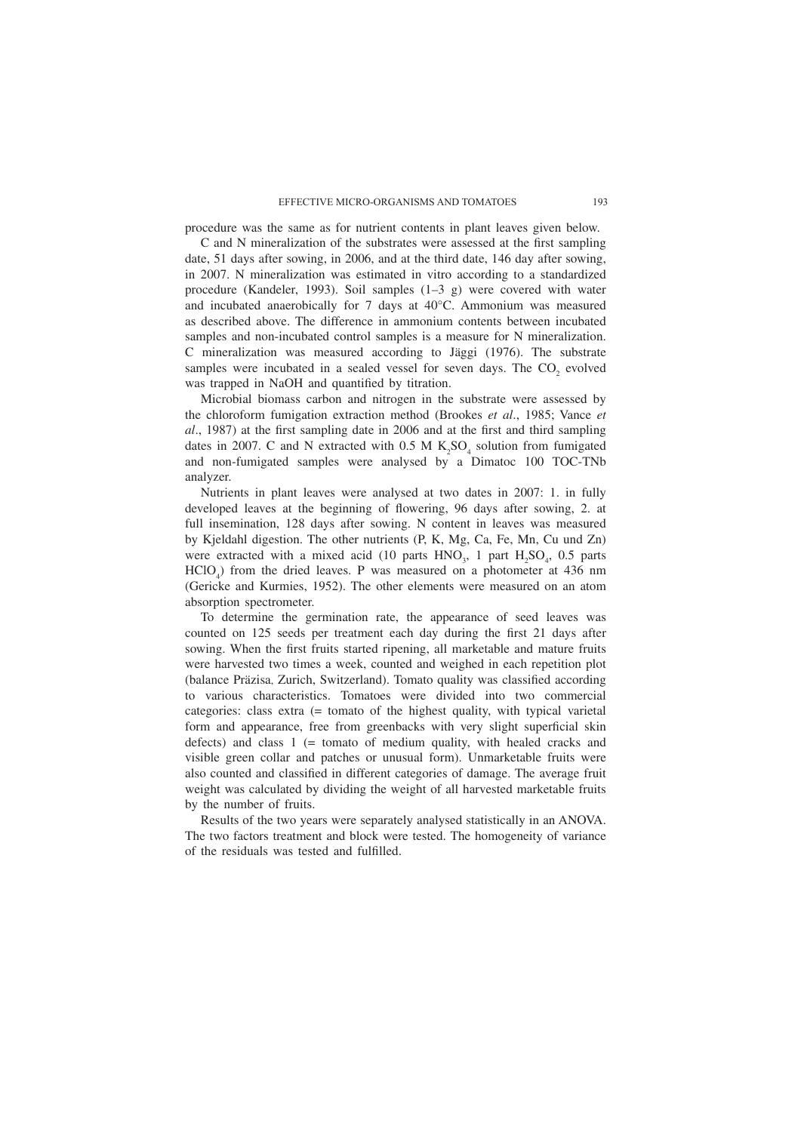procedure was the same as for nutrient contents in plant leaves given below.

C and N mineralization of the substrates were assessed at the first sampling date, 51 days after sowing, in 2006, and at the third date, 146 day after sowing, in 2007. N mineralization was estimated in vitro according to a standardized procedure (Kandeler, 1993). Soil samples (1–3 g) were covered with water and incubated anaerobically for 7 days at 40°C. Ammonium was measured as described above. The difference in ammonium contents between incubated samples and non-incubated control samples is a measure for N mineralization. C mineralization was measured according to Jäggi (1976). The substrate samples were incubated in a sealed vessel for seven days. The  $CO_2$  evolved was trapped in NaOH and quantified by titration.

Microbial biomass carbon and nitrogen in the substrate were assessed by the chloroform fumigation extraction method (Brookes *et al*., 1985; Vance *et al*., 1987) at the first sampling date in 2006 and at the first and third sampling dates in 2007. C and N extracted with  $0.5$  M  $K_2SO_4$  solution from fumigated and non-fumigated samples were analysed by a Dimatoc 100 TOC-TNb analyzer.

Nutrients in plant leaves were analysed at two dates in 2007: 1. in fully developed leaves at the beginning of flowering, 96 days after sowing, 2. at full insemination, 128 days after sowing. N content in leaves was measured by Kjeldahl digestion. The other nutrients (P, K, Mg, Ca, Fe, Mn, Cu und Zn) were extracted with a mixed acid (10 parts  $HNO_3$ , 1 part  $H_2SO_4$ , 0.5 parts HClO4 ) from the dried leaves. P was measured on a photometer at 436 nm (Gericke and Kurmies, 1952). The other elements were measured on an atom absorption spectrometer.

To determine the germination rate, the appearance of seed leaves was counted on 125 seeds per treatment each day during the first 21 days after sowing. When the first fruits started ripening, all marketable and mature fruits were harvested two times a week, counted and weighed in each repetition plot (balance Präzisa, Zurich, Switzerland). Tomato quality was classified according to various characteristics. Tomatoes were divided into two commercial categories: class extra (= tomato of the highest quality, with typical varietal form and appearance, free from greenbacks with very slight superficial skin defects) and class 1 (= tomato of medium quality, with healed cracks and visible green collar and patches or unusual form). Unmarketable fruits were also counted and classified in different categories of damage. The average fruit weight was calculated by dividing the weight of all harvested marketable fruits by the number of fruits.

Results of the two years were separately analysed statistically in an ANOVA. The two factors treatment and block were tested. The homogeneity of variance of the residuals was tested and fulfilled.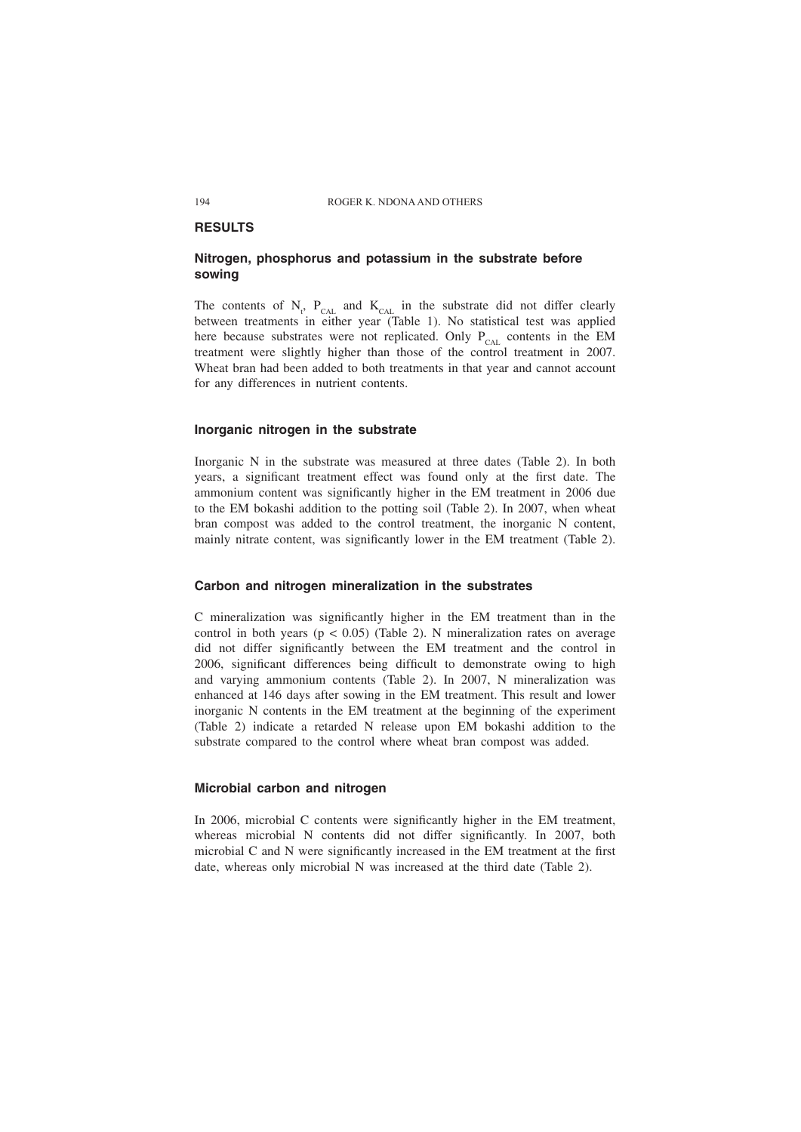### 194 ROGER K. NDONAAND OTHERS

# **RESULTS**

#### **Nitrogen, phosphorus and potassium in the substrate before sowing**

The contents of  $N_t$ ,  $P_{CAL}$  and  $K_{CAL}$  in the substrate did not differ clearly between treatments in either year (Table 1). No statistical test was applied here because substrates were not replicated. Only  $P_{CAL}$  contents in the EM treatment were slightly higher than those of the control treatment in 2007. Wheat bran had been added to both treatments in that year and cannot account for any differences in nutrient contents.

#### **Inorganic nitrogen in the substrate**

Inorganic N in the substrate was measured at three dates (Table 2). In both years, a significant treatment effect was found only at the first date. The ammonium content was significantly higher in the EM treatment in 2006 due to the EM bokashi addition to the potting soil (Table 2). In 2007, when wheat bran compost was added to the control treatment, the inorganic N content, mainly nitrate content, was significantly lower in the EM treatment (Table 2).

#### **Carbon and nitrogen mineralization in the substrates**

C mineralization was significantly higher in the EM treatment than in the control in both years ( $p < 0.05$ ) (Table 2). N mineralization rates on average did not differ significantly between the EM treatment and the control in 2006, significant differences being difficult to demonstrate owing to high and varying ammonium contents (Table 2). In 2007, N mineralization was enhanced at 146 days after sowing in the EM treatment. This result and lower inorganic N contents in the EM treatment at the beginning of the experiment (Table 2) indicate a retarded N release upon EM bokashi addition to the substrate compared to the control where wheat bran compost was added.

# **Microbial carbon and nitrogen**

In 2006, microbial C contents were significantly higher in the EM treatment, whereas microbial N contents did not differ significantly. In 2007, both microbial C and N were significantly increased in the EM treatment at the first date, whereas only microbial N was increased at the third date (Table 2).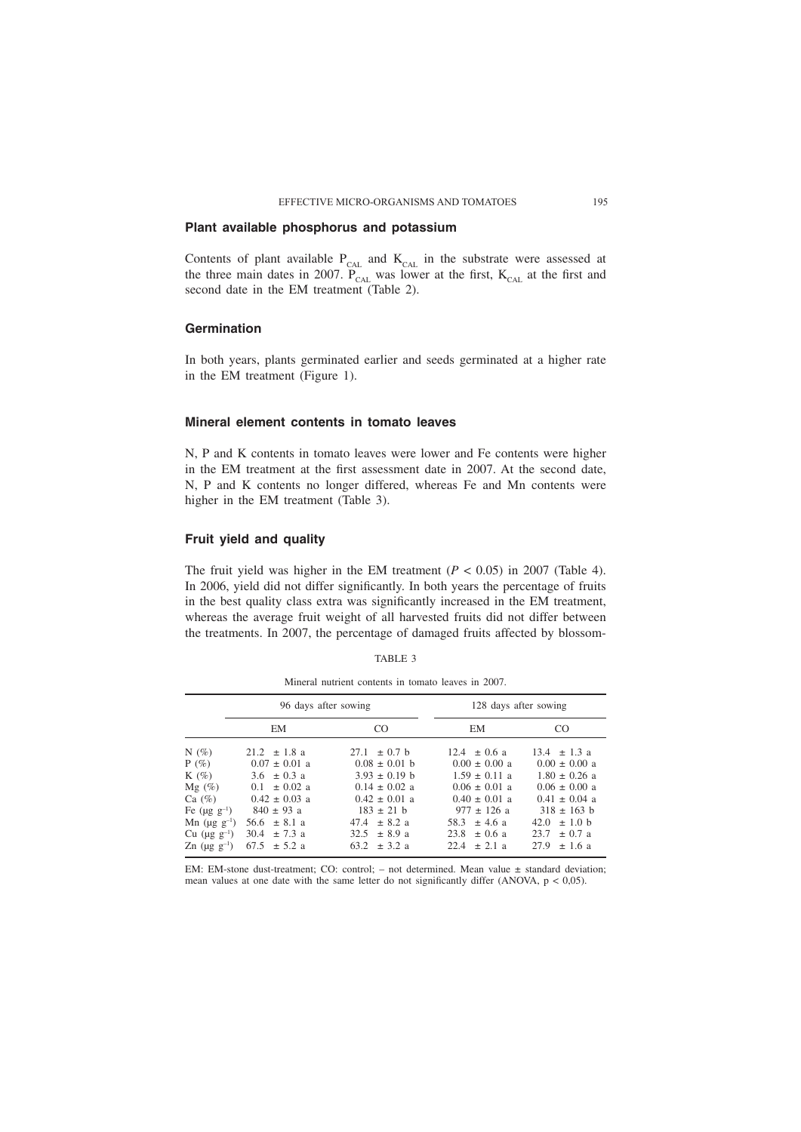### **Plant available phosphorus and potassium**

Contents of plant available  $P_{CAL}$  and  $K_{CAL}$  in the substrate were assessed at the three main dates in 2007.  $P_{CAL}$  was lower at the first,  $K_{CAL}$  at the first and second date in the EM treatment (Table 2).

#### **Germination**

In both years, plants germinated earlier and seeds germinated at a higher rate in the EM treatment (Figure 1).

#### **Mineral element contents in tomato leaves**

N, P and K contents in tomato leaves were lower and Fe contents were higher in the EM treatment at the first assessment date in 2007. At the second date, N, P and K contents no longer differed, whereas Fe and Mn contents were higher in the EM treatment (Table 3).

# **Fruit yield and quality**

The fruit yield was higher in the EM treatment  $(P < 0.05)$  in 2007 (Table 4). In 2006, yield did not differ significantly. In both years the percentage of fruits in the best quality class extra was significantly increased in the EM treatment, whereas the average fruit weight of all harvested fruits did not differ between the treatments. In 2007, the percentage of damaged fruits affected by blossom-

Mineral nutrient contents in tomato leaves in 2007. 96 days after sowing 128 days after sowing EM CO EM CO N (%) 21.2 ± 1.8 a 27.1 ± 0.7 b 12.4 ± 0.6 a 13.4 ± 1.3 a<br>P (%) 0.07 ± 0.01 a 0.08 ± 0.01 b 0.00 ± 0.00 a 0.00 ± 0.00 a P (%) 0.07  $\pm$  0.01 a 0.08  $\pm$  0.01 b K (%) 3.6  $\pm$  0.3 a 3.93  $\pm$  0.19 b 1.59  $\pm$  0.11 a 1.80  $\pm$  0.26 a Mg (%)  $0.1 \pm 0.02$  a  $0.14 \pm 0.02$  a  $0.06 \pm 0.01$  a  $0.06 \pm 0.00$  a<br>Ca (%)  $0.42 \pm 0.03$  a  $0.42 \pm 0.01$  a  $0.40 \pm 0.01$  a  $0.41 \pm 0.04$  a  $0.42 \pm 0.03$  a  $0.42 \pm 0.01$  a  $0.40 \pm 0.01$  a  $0.41 \pm 0.04$  a<br>  $840 \pm 93$  a  $183 \pm 21$  b  $977 \pm 126$  a  $318 \pm 163$  b Fe (µg g<sup>-1</sup>)  $840 \pm 93$  a  $183 \pm 21$  b  $977 \pm 126$  a<br>Mn (µg g<sup>-1</sup>)  $56.6 \pm 8.1$  a  $47.4 \pm 8.2$  a  $58.3 \pm 4.6$  a Mn ( $\mu$ g g<sup>-1</sup>) 56.6 ± 8.1 a<br>Cu ( $\mu$ g g<sup>-1</sup>) 30.4 ± 7.3 a<br>32.5 ± 8.9 a<br>32.5 ± 8.9 a<br>32.5 ± 3.8 a<br>32.5 ± 3.8 a<br>32.5 ± 3.8 a<br>3.8 ± 0.6 a<br>32.7 ± 0.7 a  $30.4 \pm 7.3$  a  $32.5 \pm 8.9$  a  $23.8 \pm 0.6$  a  $23.7 \pm 0.7$  a<br>  $67.5 \pm 5.2$  a  $63.2 \pm 3.2$  a  $22.4 \pm 2.1$  a  $27.9 \pm 1.6$  a Zn ( $\mu$ g g<sup>-1</sup>) 67.5  $\pm$  5.2 a 63.2  $\pm$  3.2 a 22.4  $\pm$  2.1 a

TABLE 3

EM: EM-stone dust-treatment; CO: control;  $-$  not determined. Mean value  $\pm$  standard deviation; mean values at one date with the same letter do not significantly differ (ANOVA,  $p < 0.05$ ).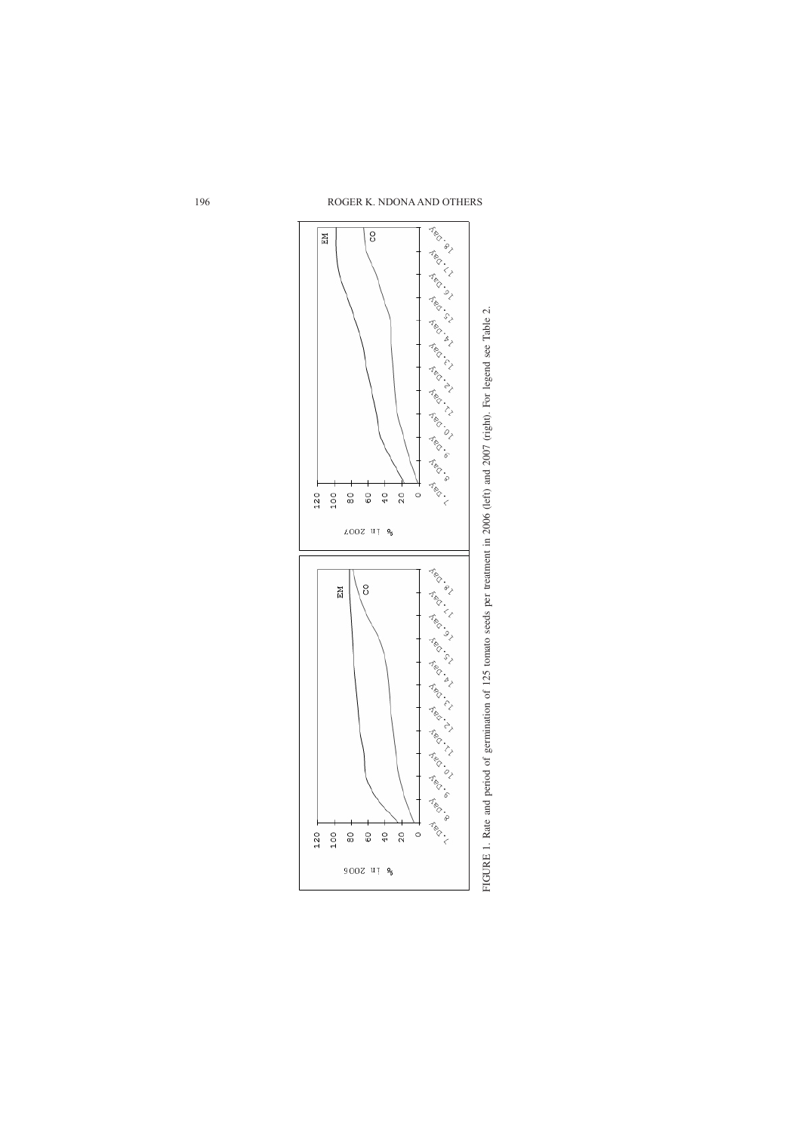

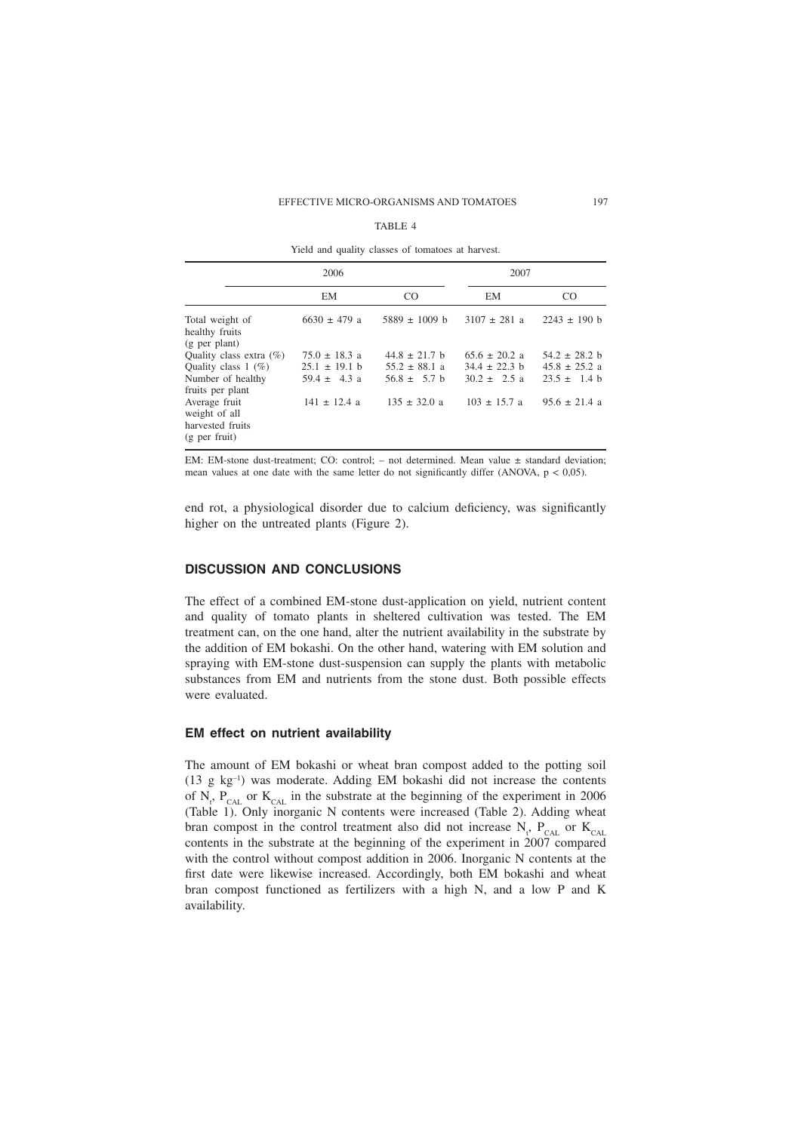| н |  |
|---|--|
|   |  |

Yield and quality classes of tomatoes at harvest.

|                                                                                                 | 2006                                                       |                                                            | 2007                                                       |                                                                    |
|-------------------------------------------------------------------------------------------------|------------------------------------------------------------|------------------------------------------------------------|------------------------------------------------------------|--------------------------------------------------------------------|
|                                                                                                 | EM                                                         | C <sub>O</sub>                                             | EM                                                         | <sub>CO</sub>                                                      |
| Total weight of<br>healthy fruits<br>$(g \text{ per plant})$                                    | $6630 \pm 479$ a                                           | $5889 \pm 1009$ b                                          | $3107 \pm 281$ a                                           | $2243 \pm 190$ b                                                   |
| Quality class extra $(\%)$<br>Quality class $1 \ (\%)$<br>Number of healthy<br>fruits per plant | $75.0 \pm 18.3$ a<br>$25.1 \pm 19.1$ b<br>$59.4 \pm 4.3$ a | $44.8 \pm 21.7$ b<br>$55.2 \pm 88.1$ a<br>$56.8 \pm 5.7$ h | $65.6 \pm 20.2$ a<br>$34.4 \pm 22.3$ h<br>$30.2 \pm 2.5$ a | $54.2 \pm 28.2$ b<br>$45.8 \pm 25.2$ a<br>$23.5 \pm 1.4 \text{ h}$ |
| Average fruit<br>weight of all<br>harvested fruits<br>$(g$ per fruit)                           | $141 \pm 12.4$ a                                           | $135 \pm 32.0$ a                                           | $103 \pm 15.7$ a                                           | $95.6 \pm 21.4$ a                                                  |

EM: EM-stone dust-treatment; CO: control; – not determined. Mean value ± standard deviation; mean values at one date with the same letter do not significantly differ (ANOVA,  $p < 0.05$ ).

end rot, a physiological disorder due to calcium deficiency, was significantly higher on the untreated plants (Figure 2).

# **DISCUSSION AND CONCLUSIONS**

The effect of a combined EM-stone dust-application on yield, nutrient content and quality of tomato plants in sheltered cultivation was tested. The EM treatment can, on the one hand, alter the nutrient availability in the substrate by the addition of EM bokashi. On the other hand, watering with EM solution and spraying with EM-stone dust-suspension can supply the plants with metabolic substances from EM and nutrients from the stone dust. Both possible effects were evaluated.

# **EM effect on nutrient availability**

The amount of EM bokashi or wheat bran compost added to the potting soil (13 g kg–1) was moderate. Adding EM bokashi did not increase the contents of  $N_t$ ,  $P_{CAL}$  or  $K_{CAL}$  in the substrate at the beginning of the experiment in 2006 (Table 1). Only inorganic N contents were increased (Table 2). Adding wheat bran compost in the control treatment also did not increase  $N_t$ ,  $P_{CAL}$  or  $K_{CAL}$ contents in the substrate at the beginning of the experiment in 2007 compared with the control without compost addition in 2006. Inorganic N contents at the first date were likewise increased. Accordingly, both EM bokashi and wheat bran compost functioned as fertilizers with a high N, and a low P and K availability.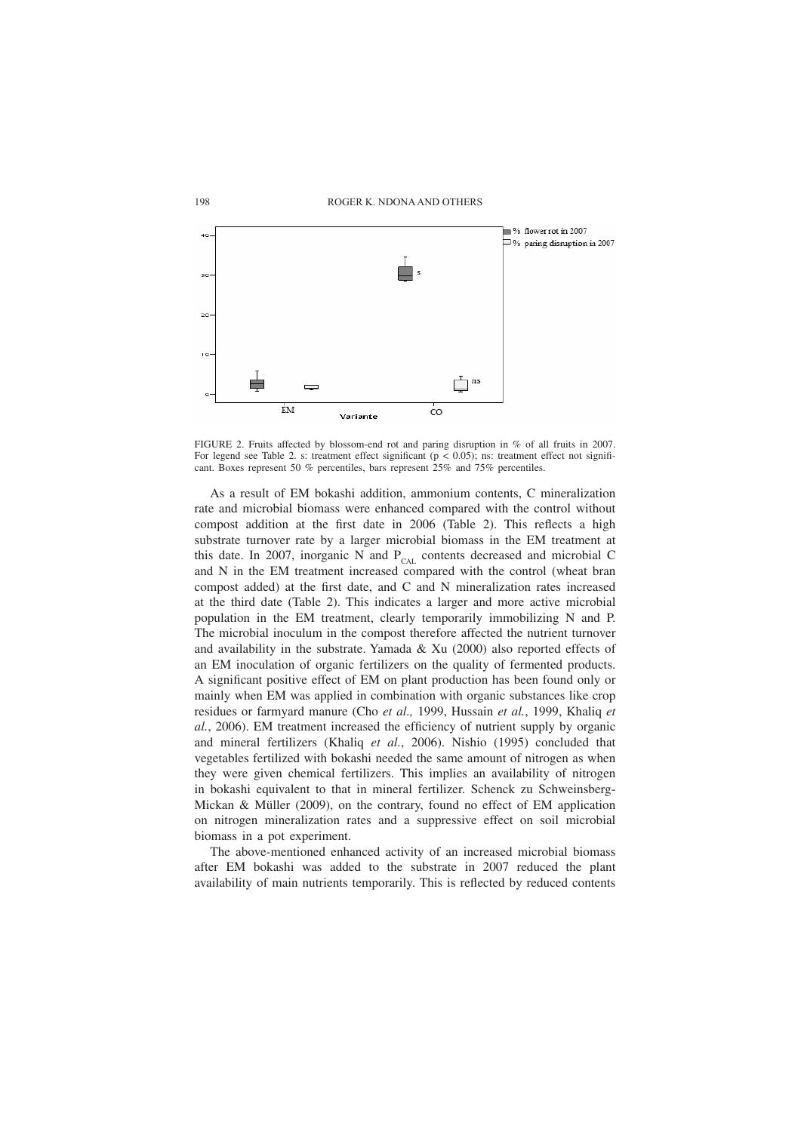

FIGURE 2. Fruits affected by blossom-end rot and paring disruption in % of all fruits in 2007. For legend see Table 2. s: treatment effect significant ( $p < 0.05$ ); ns: treatment effect not significant. Boxes represent 50 % percentiles, bars represent 25% and 75% percentiles.

As a result of EM bokashi addition, ammonium contents, C mineralization rate and microbial biomass were enhanced compared with the control without compost addition at the first date in 2006 (Table 2). This reflects a high substrate turnover rate by a larger microbial biomass in the EM treatment at this date. In 2007, inorganic N and  $P_{CAL}$  contents decreased and microbial C and N in the EM treatment increased compared with the control (wheat bran compost added) at the first date, and C and N mineralization rates increased at the third date (Table 2). This indicates a larger and more active microbial population in the EM treatment, clearly temporarily immobilizing N and P. The microbial inoculum in the compost therefore affected the nutrient turnover and availability in the substrate. Yamada & Xu (2000) also reported effects of an EM inoculation of organic fertilizers on the quality of fermented products. A significant positive effect of EM on plant production has been found only or mainly when EM was applied in combination with organic substances like crop residues or farmyard manure (Cho *et al.,* 1999, Hussain *et al.*, 1999, Khaliq *et al.*, 2006). EM treatment increased the efficiency of nutrient supply by organic and mineral fertilizers (Khaliq *et al.*, 2006). Nishio (1995) concluded that vegetables fertilized with bokashi needed the same amount of nitrogen as when they were given chemical fertilizers. This implies an availability of nitrogen in bokashi equivalent to that in mineral fertilizer. Schenck zu Schweinsberg-Mickan & Müller (2009), on the contrary, found no effect of EM application on nitrogen mineralization rates and a suppressive effect on soil microbial biomass in a pot experiment.

The above-mentioned enhanced activity of an increased microbial biomass after EM bokashi was added to the substrate in 2007 reduced the plant availability of main nutrients temporarily. This is reflected by reduced contents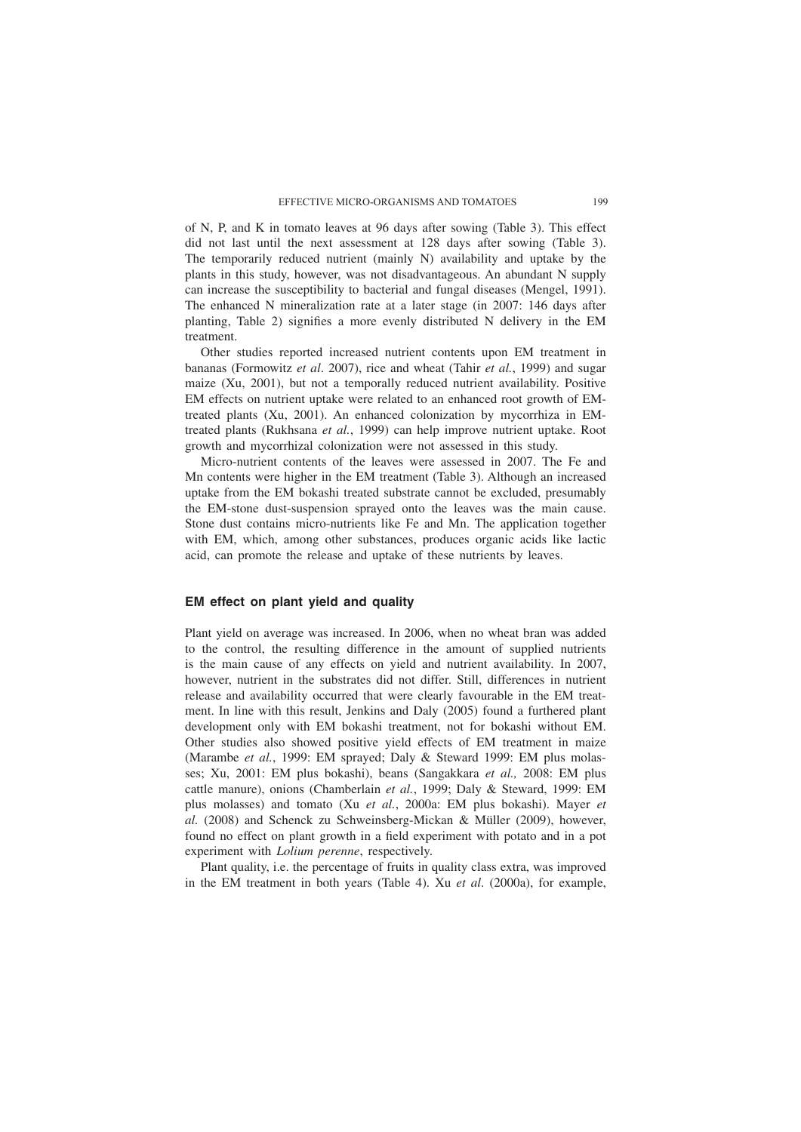of N, P, and K in tomato leaves at 96 days after sowing (Table 3). This effect did not last until the next assessment at 128 days after sowing (Table 3). The temporarily reduced nutrient (mainly N) availability and uptake by the plants in this study, however, was not disadvantageous. An abundant N supply can increase the susceptibility to bacterial and fungal diseases (Mengel, 1991). The enhanced N mineralization rate at a later stage (in 2007: 146 days after planting, Table 2) signifies a more evenly distributed N delivery in the EM treatment.

Other studies reported increased nutrient contents upon EM treatment in bananas (Formowitz *et al*. 2007), rice and wheat (Tahir *et al.*, 1999) and sugar maize (Xu, 2001), but not a temporally reduced nutrient availability. Positive EM effects on nutrient uptake were related to an enhanced root growth of EMtreated plants (Xu, 2001). An enhanced colonization by mycorrhiza in EMtreated plants (Rukhsana *et al.*, 1999) can help improve nutrient uptake. Root growth and mycorrhizal colonization were not assessed in this study.

Micro-nutrient contents of the leaves were assessed in 2007. The Fe and Mn contents were higher in the EM treatment (Table 3). Although an increased uptake from the EM bokashi treated substrate cannot be excluded, presumably the EM-stone dust-suspension sprayed onto the leaves was the main cause. Stone dust contains micro-nutrients like Fe and Mn. The application together with EM, which, among other substances, produces organic acids like lactic acid, can promote the release and uptake of these nutrients by leaves.

# **EM effect on plant yield and quality**

Plant yield on average was increased. In 2006, when no wheat bran was added to the control, the resulting difference in the amount of supplied nutrients is the main cause of any effects on yield and nutrient availability. In 2007, however, nutrient in the substrates did not differ. Still, differences in nutrient release and availability occurred that were clearly favourable in the EM treatment. In line with this result, Jenkins and Daly (2005) found a furthered plant development only with EM bokashi treatment, not for bokashi without EM. Other studies also showed positive yield effects of EM treatment in maize (Marambe *et al.*, 1999: EM sprayed; Daly & Steward 1999: EM plus molasses; Xu, 2001: EM plus bokashi), beans (Sangakkara *et al.,* 2008: EM plus cattle manure), onions (Chamberlain *et al.*, 1999; Daly & Steward, 1999: EM plus molasses) and tomato (Xu *et al.*, 2000a: EM plus bokashi). Mayer *et al.* (2008) and Schenck zu Schweinsberg-Mickan & Müller (2009), however, found no effect on plant growth in a field experiment with potato and in a pot experiment with *Lolium perenne*, respectively.

Plant quality, i.e. the percentage of fruits in quality class extra, was improved in the EM treatment in both years (Table 4). Xu *et al*. (2000a), for example,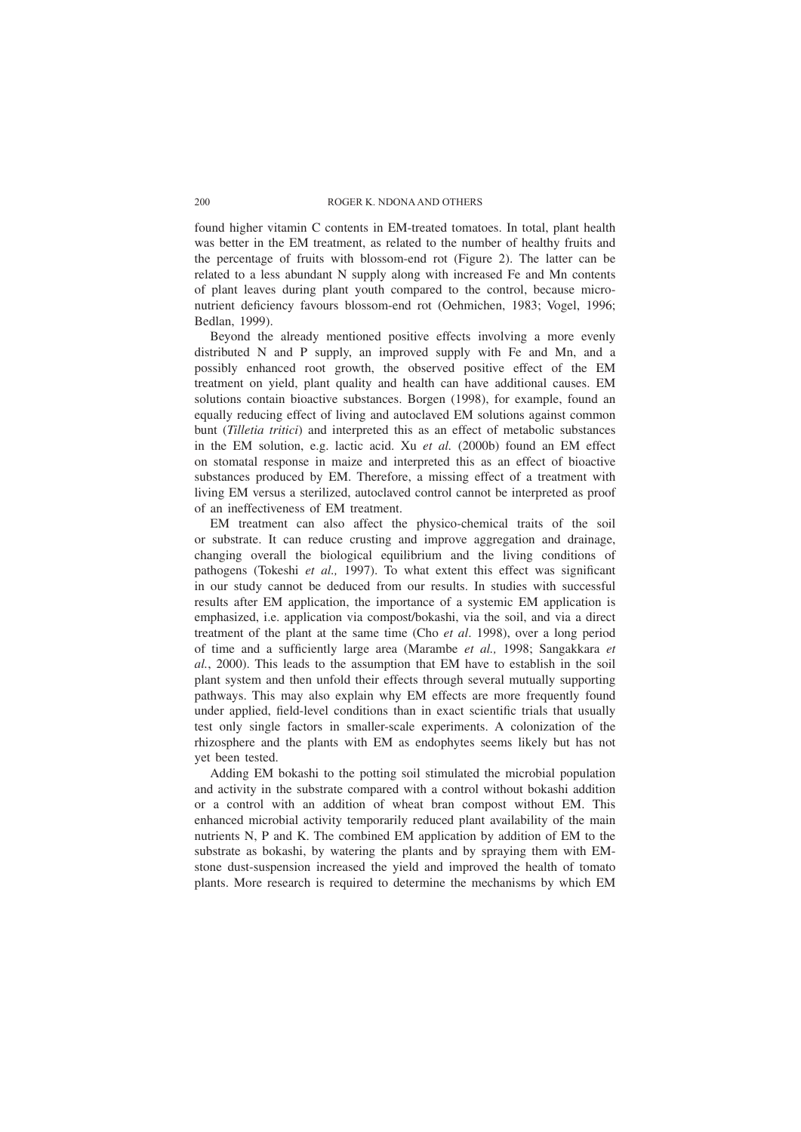found higher vitamin C contents in EM-treated tomatoes. In total, plant health was better in the EM treatment, as related to the number of healthy fruits and the percentage of fruits with blossom-end rot (Figure 2). The latter can be related to a less abundant N supply along with increased Fe and Mn contents of plant leaves during plant youth compared to the control, because micronutrient deficiency favours blossom-end rot (Oehmichen, 1983; Vogel, 1996; Bedlan, 1999).

Beyond the already mentioned positive effects involving a more evenly distributed N and P supply, an improved supply with Fe and Mn, and a possibly enhanced root growth, the observed positive effect of the EM treatment on yield, plant quality and health can have additional causes. EM solutions contain bioactive substances. Borgen (1998), for example, found an equally reducing effect of living and autoclaved EM solutions against common bunt (*Tilletia tritici*) and interpreted this as an effect of metabolic substances in the EM solution, e.g. lactic acid. Xu *et al.* (2000b) found an EM effect on stomatal response in maize and interpreted this as an effect of bioactive substances produced by EM. Therefore, a missing effect of a treatment with living EM versus a sterilized, autoclaved control cannot be interpreted as proof of an ineffectiveness of EM treatment.

EM treatment can also affect the physico-chemical traits of the soil or substrate. It can reduce crusting and improve aggregation and drainage, changing overall the biological equilibrium and the living conditions of pathogens (Tokeshi *et al.,* 1997). To what extent this effect was significant in our study cannot be deduced from our results. In studies with successful results after EM application, the importance of a systemic EM application is emphasized, i.e. application via compost/bokashi, via the soil, and via a direct treatment of the plant at the same time (Cho *et al*. 1998), over a long period of time and a sufficiently large area (Marambe *et al.,* 1998; Sangakkara *et al.*, 2000). This leads to the assumption that EM have to establish in the soil plant system and then unfold their effects through several mutually supporting pathways. This may also explain why EM effects are more frequently found under applied, field-level conditions than in exact scientific trials that usually test only single factors in smaller-scale experiments. A colonization of the rhizosphere and the plants with EM as endophytes seems likely but has not yet been tested.

Adding EM bokashi to the potting soil stimulated the microbial population and activity in the substrate compared with a control without bokashi addition or a control with an addition of wheat bran compost without EM. This enhanced microbial activity temporarily reduced plant availability of the main nutrients N, P and K. The combined EM application by addition of EM to the substrate as bokashi, by watering the plants and by spraying them with EMstone dust-suspension increased the yield and improved the health of tomato plants. More research is required to determine the mechanisms by which EM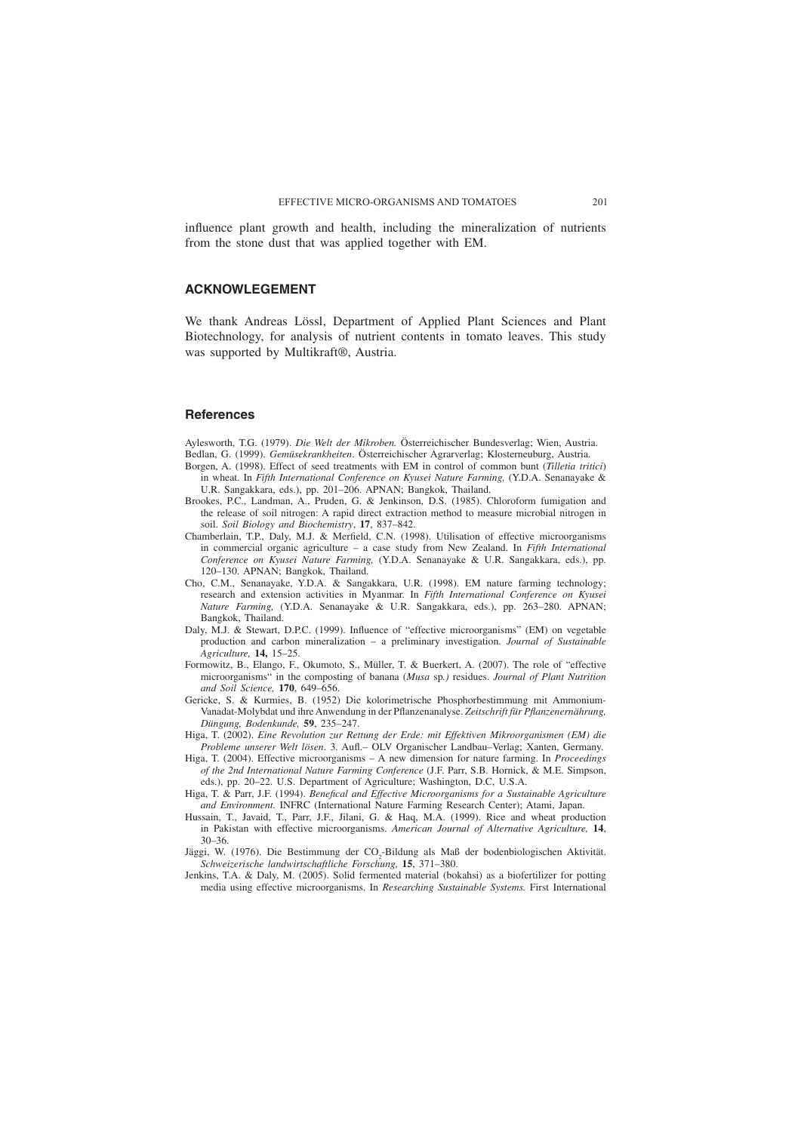influence plant growth and health, including the mineralization of nutrients from the stone dust that was applied together with EM.

#### **ACKNOWLEGEMENT**

We thank Andreas Lössl, Department of Applied Plant Sciences and Plant Biotechnology, for analysis of nutrient contents in tomato leaves. This study was supported by Multikraft®, Austria.

#### **References**

Aylesworth, T.G. (1979). *Die Welt der Mikroben.* Österreichischer Bundesverlag; Wien, Austria. Bedlan, G. (1999). *Gemüsekrankheiten*. Österreichischer Agrarverlag; Klosterneuburg, Austria.

- Borgen, A. (1998). Effect of seed treatments with EM in control of common bunt (*Tilletia tritici*) in wheat. In *Fifth International Conference on Kyusei Nature Farming,* (Y.D.A. Senanayake & U.R. Sangakkara, eds.), pp. 201–206. APNAN; Bangkok, Thailand.
- Brookes, P.C., Landman, A., Pruden, G. & Jenkinson, D.S. (1985). Chloroform fumigation and the release of soil nitrogen: A rapid direct extraction method to measure microbial nitrogen in soil. *Soil Biology and Biochemistry*, **17**, 837–842.
- Chamberlain, T.P., Daly, M.J. & Merfield, C.N. (1998). Utilisation of effective microorganisms in commercial organic agriculture – a case study from New Zealand. In *Fifth International Conference on Kyusei Nature Farming,* (Y.D.A. Senanayake & U.R. Sangakkara, eds.), pp. 120–130. APNAN; Bangkok, Thailand.
- Cho, C.M., Senanayake, Y.D.A. & Sangakkara, U.R. (1998). EM nature farming technology; research and extension activities in Myanmar. In *Fifth International Conference on Kyusei Nature Farming,* (Y.D.A. Senanayake & U.R. Sangakkara, eds.), pp. 263–280. APNAN; Bangkok, Thailand.
- Daly, M.J. & Stewart, D.P.C. (1999). Influence of "effective microorganisms" (EM) on vegetable production and carbon mineralization – a preliminary investigation. *Journal of Sustainable Agriculture,* **14,** 15–25.
- Formowitz, B., Elango, F., Okumoto, S., Müller, T. & Buerkert, A. (2007). The role of "effective microorganisms" in the composting of banana (*Musa* sp*.)* residues. *Journal of Plant Nutrition and Soil Science,* **170**, 649–656.
- Gericke, S. & Kurmies, B. (1952) Die kolorimetrische Phosphorbestimmung mit Ammonium-Vanadat-Molybdat und ihre Anwendung in der Pflanzenanalyse. *Zeitschrift für Pflanzenernährung, Düngung, Bodenkunde,* **59**, 235–247.
- Higa, T. (2002). *Eine Revolution zur Rettung der Erde: mit Effektiven Mikroorganismen (EM) die Probleme unserer Welt lösen*. 3. Aufl.– OLV Organischer Landbau–Verlag; Xanten, Germany.
- Higa, T. (2004). Effective microorganisms A new dimension for nature farming. In *Proceedings of the 2nd International Nature Farming Conference* (J.F. Parr, S.B. Hornick, & M.E. Simpson, eds.), pp. 20–22. U.S. Department of Agriculture; Washington, D.C, U.S.A.
- Higa, T. & Parr, J.F. (1994). *Benefical and Effective Microorganisms for a Sustainable Agriculture and Environment.* INFRC (International Nature Farming Research Center); Atami, Japan.
- Hussain, T., Javaid, T., Parr, J.F., Jilani, G. & Haq, M.A. (1999). Rice and wheat production in Pakistan with effective microorganisms. *American Journal of Alternative Agriculture,* **14**, 30–36.
- Jäggi, W. (1976). Die Bestimmung der CO<sub>2</sub>-Bildung als Maß der bodenbiologischen Aktivität. *Schweizerische landwirtschaftliche Forschung,* **15**, 371–380.
- Jenkins, T.A. & Daly, M. (2005). Solid fermented material (bokahsi) as a biofertilizer for potting media using effective microorganisms. In *Researching Sustainable Systems.* First International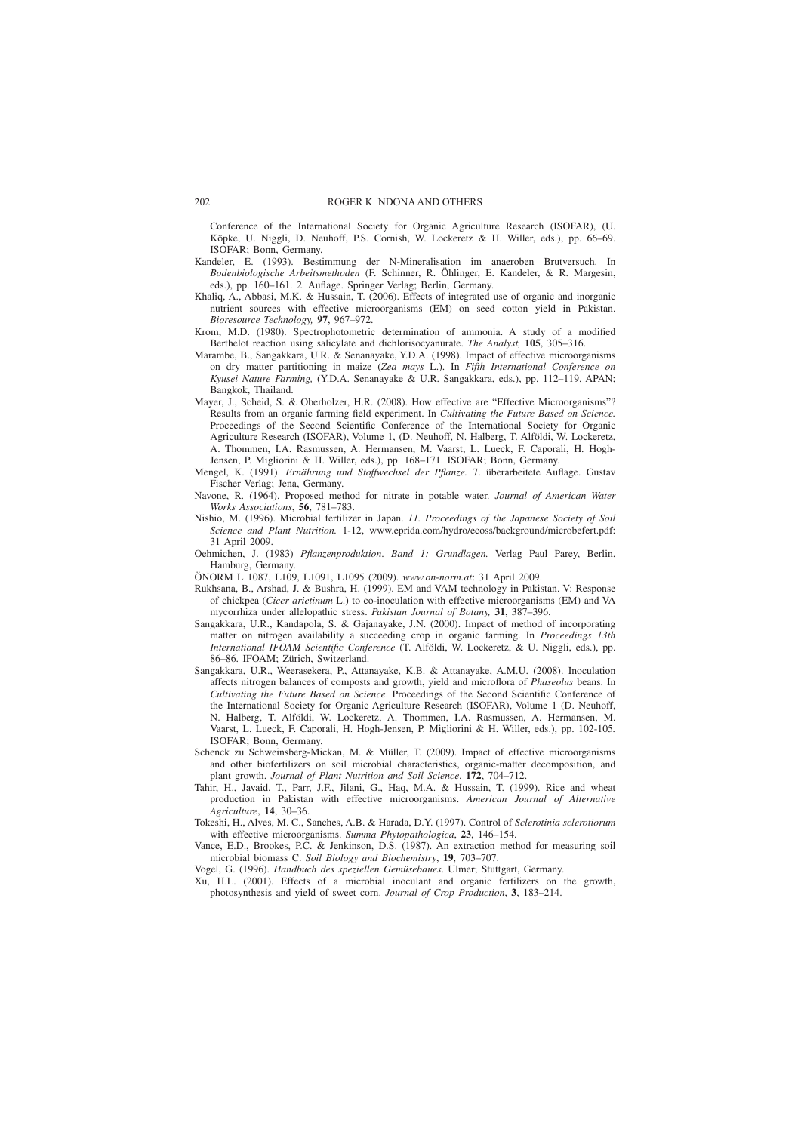Conference of the International Society for Organic Agriculture Research (ISOFAR), (U. Köpke, U. Niggli, D. Neuhoff, P.S. Cornish, W. Lockeretz & H. Willer, eds.), pp. 66–69. ISOFAR; Bonn, Germany.

- Kandeler, E. (1993). Bestimmung der N-Mineralisation im anaeroben Brutversuch. In *Bodenbiologische Arbeitsmethoden* (F. Schinner, R. Öhlinger, E. Kandeler, & R. Margesin, eds.), pp. 160–161. 2. Auflage. Springer Verlag; Berlin, Germany.
- Khaliq, A., Abbasi, M.K. & Hussain, T. (2006). Effects of integrated use of organic and inorganic nutrient sources with effective microorganisms (EM) on seed cotton yield in Pakistan. *Bioresource Technology,* **97**, 967–972.
- Krom, M.D. (1980). Spectrophotometric determination of ammonia. A study of a modified Berthelot reaction using salicylate and dichlorisocyanurate. *The Analyst,* **105**, 305–316.
- Marambe, B., Sangakkara, U.R. & Senanayake, Y.D.A. (1998). Impact of effective microorganisms on dry matter partitioning in maize (*Zea mays* L.). In *Fifth International Conference on Kyusei Nature Farming,* (Y.D.A. Senanayake & U.R. Sangakkara, eds.), pp. 112–119. APAN; Bangkok, Thailand.
- Mayer, J., Scheid, S. & Oberholzer, H.R. (2008). How effective are "Effective Microorganisms"? Results from an organic farming field experiment. In *Cultivating the Future Based on Science.*  Proceedings of the Second Scientific Conference of the International Society for Organic Agriculture Research (ISOFAR), Volume 1, (D. Neuhoff, N. Halberg, T. Alföldi, W. Lockeretz, A. Thommen, I.A. Rasmussen, A. Hermansen, M. Vaarst, L. Lueck, F. Caporali, H. Hogh-Jensen, P. Migliorini & H. Willer, eds.), pp. 168–171. ISOFAR; Bonn, Germany.
- Mengel, K. (1991). *Ernährung und Stoffwechsel der Pflanze.* 7. überarbeitete Auflage. Gustav Fischer Verlag; Jena, Germany.
- Navone, R. (1964). Proposed method for nitrate in potable water. *Journal of American Water Works Associations*, **56**, 781–783.
- Nishio, M. (1996). Microbial fertilizer in Japan. *11. Proceedings of the Japanese Society of Soil Science and Plant Nutrition.* 1-12, www.eprida.com/hydro/ecoss/background/microbefert.pdf: 31 April 2009.
- Oehmichen, J. (1983) *Pflanzenproduktion*. *Band 1: Grundlagen.* Verlag Paul Parey, Berlin, Hamburg, Germany.
- ÖNORM L 1087, L109, L1091, L1095 (2009). *www.on-norm.at*: 31 April 2009.
- Rukhsana, B., Arshad, J. & Bushra, H. (1999). EM and VAM technology in Pakistan. V: Response of chickpea (*Cicer arietinum* L.) to co-inoculation with effective microorganisms (EM) and VA mycorrhiza under allelopathic stress. *Pakistan Journal of Botany,* **31**, 387–396.
- Sangakkara, U.R., Kandapola, S. & Gajanayake, J.N. (2000). Impact of method of incorporating matter on nitrogen availability a succeeding crop in organic farming. In *Proceedings 13th International IFOAM Scientific Conference* (T. Alföldi, W. Lockeretz, & U. Niggli, eds.), pp. 86–86. IFOAM; Zürich, Switzerland.
- Sangakkara, U.R., Weerasekera, P., Attanayake, K.B. & Attanayake, A.M.U. (2008). Inoculation affects nitrogen balances of composts and growth, yield and microflora of *Phaseolus* beans. In *Cultivating the Future Based on Science*. Proceedings of the Second Scientific Conference of the International Society for Organic Agriculture Research (ISOFAR), Volume 1 (D. Neuhoff, N. Halberg, T. Alföldi, W. Lockeretz, A. Thommen, I.A. Rasmussen, A. Hermansen, M. Vaarst, L. Lueck, F. Caporali, H. Hogh-Jensen, P. Migliorini & H. Willer, eds.), pp. 102-105*.* ISOFAR; Bonn, Germany.
- Schenck zu Schweinsberg-Mickan, M. & Müller, T. (2009). Impact of effective microorganisms and other biofertilizers on soil microbial characteristics, organic-matter decomposition, and plant growth. *Journal of Plant Nutrition and Soil Science*, **172**, 704–712.
- Tahir, H., Javaid, T., Parr, J.F., Jilani, G., Haq, M.A. & Hussain, T. (1999). Rice and wheat production in Pakistan with effective microorganisms. *American Journal of Alternative Agriculture*, **14**, 30–36.
- Tokeshi, H., Alves, M. C., Sanches, A.B. & Harada, D.Y. (1997). Control of *Sclerotinia sclerotiorum* with effective microorganisms. *Summa Phytopathologica*, **23**, 146–154.
- Vance, E.D., Brookes, P.C. & Jenkinson, D.S. (1987). An extraction method for measuring soil microbial biomass C. *Soil Biology and Biochemistry*, **19**, 703–707.
- Vogel, G. (1996). *Handbuch des speziellen Gemüsebaues*. Ulmer; Stuttgart, Germany.
- Xu, H.L. (2001). Effects of a microbial inoculant and organic fertilizers on the growth, photosynthesis and yield of sweet corn. *Journal of Crop Production*, **3**, 183–214.